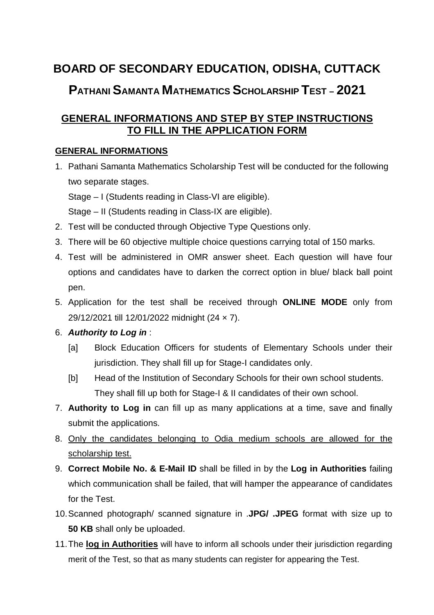# **BOARD OF SECONDARY EDUCATION, ODISHA, CUTTACK PATHANI SAMANTA MATHEMATICS SCHOLARSHIP TEST – 2021**

# **GENERAL INFORMATIONS AND STEP BY STEP INSTRUCTIONS TO FILL IN THE APPLICATION FORM**

## **GENERAL INFORMATIONS**

1. Pathani Samanta Mathematics Scholarship Test will be conducted for the following two separate stages.

Stage – I (Students reading in Class-VI are eligible).

Stage – II (Students reading in Class-IX are eligible).

- 2. Test will be conducted through Objective Type Questions only.
- 3. There will be 60 objective multiple choice questions carrying total of 150 marks.
- 4. Test will be administered in OMR answer sheet. Each question will have four options and candidates have to darken the correct option in blue/ black ball point pen.
- 5. Application for the test shall be received through **ONLINE MODE** only from 29/12/2021 till 12/01/2022 midnight (24 × 7).

## 6. *Authority to Log in* :

- [a] Block Education Officers for students of Elementary Schools under their jurisdiction. They shall fill up for Stage-I candidates only.
- [b] Head of the Institution of Secondary Schools for their own school students. They shall fill up both for Stage-I & II candidates of their own school.
- 7. **Authority to Log in** can fill up as many applications at a time, save and finally submit the applications.
- 8. Only the candidates belonging to Odia medium schools are allowed for the scholarship test.
- 9. **Correct Mobile No. & E-Mail ID** shall be filled in by the **Log in Authorities** failing which communication shall be failed, that will hamper the appearance of candidates for the Test.
- 10.Scanned photograph/ scanned signature in .**JPG/ .JPEG** format with size up to **50 KB** shall only be uploaded.
- 11.The **log in Authorities** will have to inform all schools under their jurisdiction regarding merit of the Test, so that as many students can register for appearing the Test.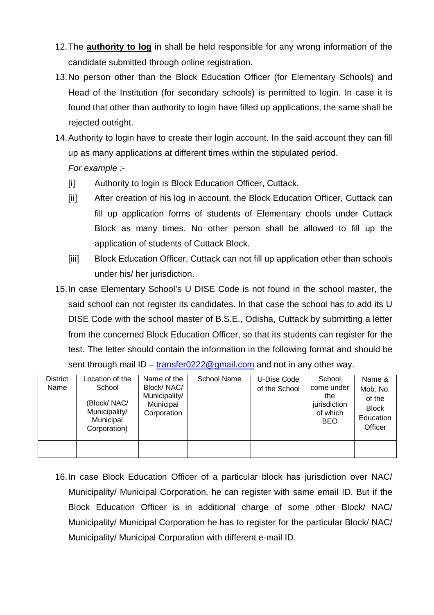- 12.The **authority to log** in shall be held responsible for any wrong information of the candidate submitted through online registration.
- 13.No person other than the Block Education Officer (for Elementary Schools) and Head of the Institution (for secondary schools) is permitted to login. In case it is found that other than authority to login have filled up applications, the same shall be rejected outright.
- 14.Authority to login have to create their login account. In the said account they can fill up as many applications at different times within the stipulated period. *For example :-*
	- [i] Authority to login is Block Education Officer, Cuttack.
	- [ii] After creation of his log in account, the Block Education Officer, Cuttack can fill up application forms of students of Elementary chools under Cuttack Block as many times. No other person shall be allowed to fill up the application of students of Cuttack Block.
	- [iii] Block Education Officer, Cuttack can not fill up application other than schools under his/ her jurisdiction.
- 15.In case Elementary School's U DISE Code is not found in the school master, the said school can not register its candidates. In that case the school has to add its U DISE Code with the school master of B.S.E., Odisha, Cuttack by submitting a letter from the concerned Block Education Officer, so that its students can register for the test. The letter should contain the information in the following format and should be sent through mail ID – transfer0222@gmail.com and not in any other way.

| <b>District</b> | Location of the                                                     | Name of the                                             | School Name | U-Dise Code   | School                                                      | Name &                                                     |
|-----------------|---------------------------------------------------------------------|---------------------------------------------------------|-------------|---------------|-------------------------------------------------------------|------------------------------------------------------------|
| Name            | School<br>(Block/NAC/<br>Municipality/<br>Municipal<br>Corporation) | Block/NAC/<br>Municipality/<br>Municipal<br>Corporation |             | of the School | come under<br>the<br>jurisdiction<br>of which<br><b>BEO</b> | Mob. No.<br>of the<br><b>Block</b><br>Education<br>Officer |
|                 |                                                                     |                                                         |             |               |                                                             |                                                            |

16.In case Block Education Officer of a particular block has jurisdiction over NAC/ Municipality/ Municipal Corporation, he can register with same email ID. But if the Block Education Officer is in additional charge of some other Block/ NAC/ Municipality/ Municipal Corporation he has to register for the particular Block/ NAC/ Municipality/ Municipal Corporation with different e-mail ID.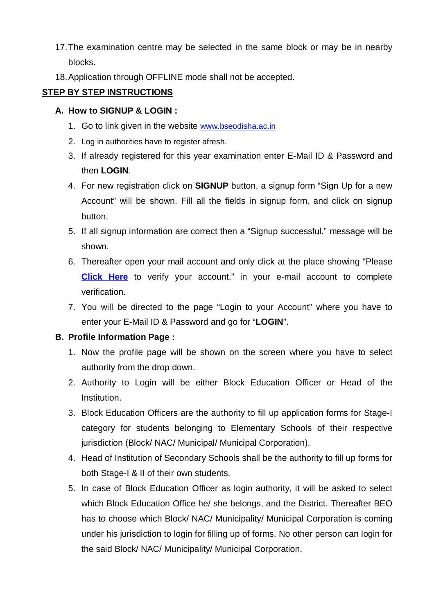- 17.The examination centre may be selected in the same block or may be in nearby blocks.
- 18.Application through OFFLINE mode shall not be accepted.

## **STEP BY STEP INSTRUCTIONS**

#### **A. How to SIGNUP & LOGIN :**

- 1. Go to link given in the website www.bseodisha.ac.in
- 2. Log in authorities have to register afresh.
- 3. If already registered for this year examination enter E-Mail ID & Password and then **LOGIN**.
- 4. For new registration click on **SIGNUP** button, a signup form "Sign Up for a new Account" will be shown. Fill all the fields in signup form, and click on signup button.
- 5. If all signup information are correct then a "Signup successful." message will be shown.
- 6. Thereafter open your mail account and only click at the place showing "Please **Click Here** to verify your account." in your e-mail account to complete verification.
- 7. You will be directed to the page "Login to your Account" where you have to enter your E-Mail ID & Password and go for "**LOGIN**".

#### **B. Profile Information Page :**

- 1. Now the profile page will be shown on the screen where you have to select authority from the drop down.
- 2. Authority to Login will be either Block Education Officer or Head of the Institution.
- 3. Block Education Officers are the authority to fill up application forms for Stage-I category for students belonging to Elementary Schools of their respective jurisdiction (Block/ NAC/ Municipal/ Municipal Corporation).
- 4. Head of Institution of Secondary Schools shall be the authority to fill up forms for both Stage-I & II of their own students.
- 5. In case of Block Education Officer as login authority, it will be asked to select which Block Education Office he/ she belongs, and the District. Thereafter BEO has to choose which Block/ NAC/ Municipality/ Municipal Corporation is coming under his jurisdiction to login for filling up of forms. No other person can login for the said Block/ NAC/ Municipality/ Municipal Corporation.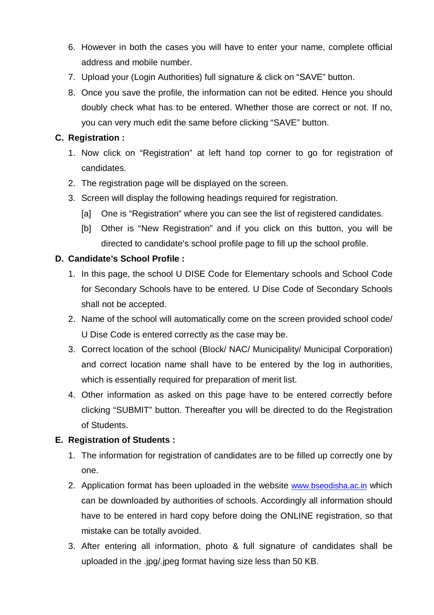- 6. However in both the cases you will have to enter your name, complete official address and mobile number.
- 7. Upload your (Login Authorities) full signature & click on "SAVE" button.
- 8. Once you save the profile, the information can not be edited. Hence you should doubly check what has to be entered. Whether those are correct or not. If no, you can very much edit the same before clicking "SAVE" button.

## **C. Registration :**

- 1. Now click on "Registration" at left hand top corner to go for registration of candidates.
- 2. The registration page will be displayed on the screen.
- 3. Screen will display the following headings required for registration.
	- [a] One is "Registration" where you can see the list of registered candidates.
	- [b] Other is "New Registration" and if you click on this button, you will be directed to candidate's school profile page to fill up the school profile.

## **D. Candidate's School Profile :**

- 1. In this page, the school U DISE Code for Elementary schools and School Code for Secondary Schools have to be entered. U Dise Code of Secondary Schools shall not be accepted.
- 2. Name of the school will automatically come on the screen provided school code/ U Dise Code is entered correctly as the case may be.
- 3. Correct location of the school (Block/ NAC/ Municipality/ Municipal Corporation) and correct location name shall have to be entered by the log in authorities, which is essentially required for preparation of merit list.
- 4. Other information as asked on this page have to be entered correctly before clicking "SUBMIT" button. Thereafter you will be directed to do the Registration of Students.

## **E. Registration of Students :**

- 1. The information for registration of candidates are to be filled up correctly one by one.
- 2. Application format has been uploaded in the website www.bseodisha.ac.in which can be downloaded by authorities of schools. Accordingly all information should have to be entered in hard copy before doing the ONLINE registration, so that mistake can be totally avoided.
- 3. After entering all information, photo & full signature of candidates shall be uploaded in the .jpg/.jpeg format having size less than 50 KB.